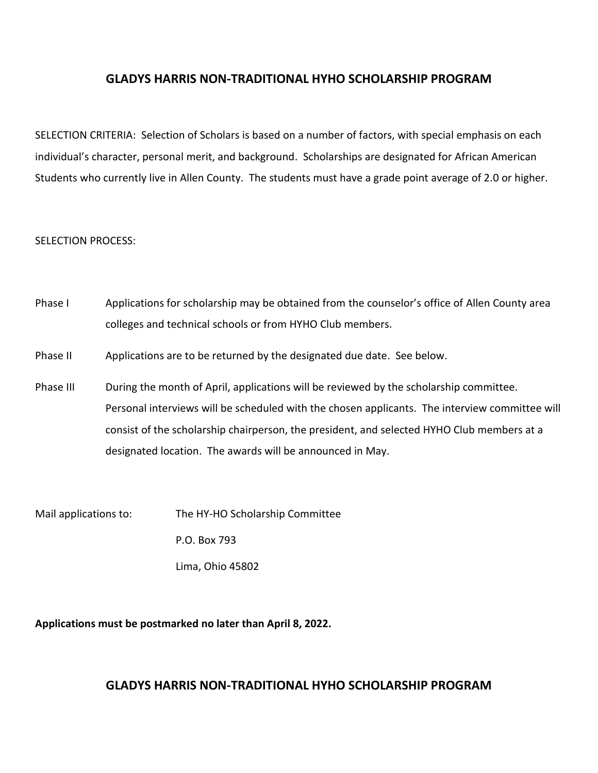## **GLADYS HARRIS NON-TRADITIONAL HYHO SCHOLARSHIP PROGRAM**

SELECTION CRITERIA: Selection of Scholars is based on a number of factors, with special emphasis on each individual's character, personal merit, and background. Scholarships are designated for African American Students who currently live in Allen County. The students must have a grade point average of 2.0 or higher.

#### SELECTION PROCESS:

- Phase I Applications for scholarship may be obtained from the counselor's office of Allen County area colleges and technical schools or from HYHO Club members.
- Phase II Applications are to be returned by the designated due date. See below.
- Phase III During the month of April, applications will be reviewed by the scholarship committee. Personal interviews will be scheduled with the chosen applicants. The interview committee will consist of the scholarship chairperson, the president, and selected HYHO Club members at a designated location. The awards will be announced in May.
- Mail applications to: The HY-HO Scholarship Committee

P.O. Box 793

Lima, Ohio 45802

**Applications must be postmarked no later than April 8, 2022.**

# **GLADYS HARRIS NON-TRADITIONAL HYHO SCHOLARSHIP PROGRAM**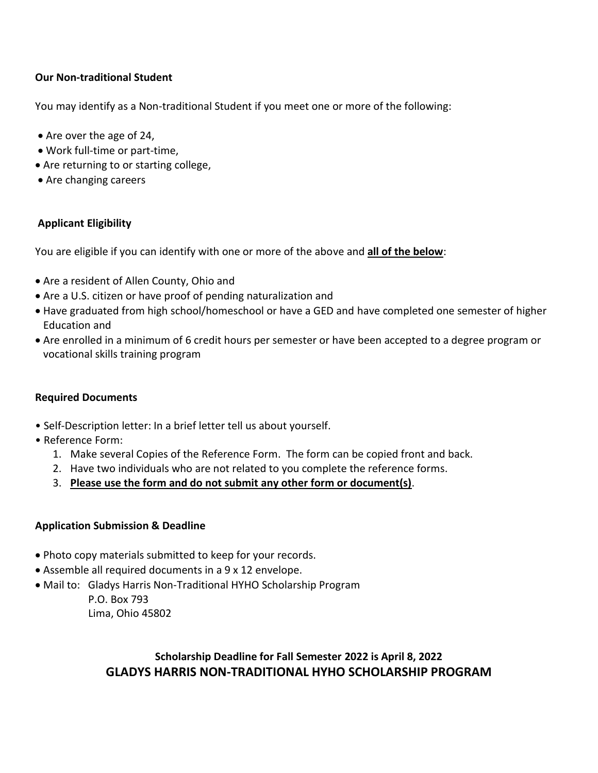### **Our Non‐traditional Student**

You may identify as a Non‐traditional Student if you meet one or more of the following:

- Are over the age of 24,
- Work full‐time or part‐time,
- Are returning to or starting college,
- Are changing careers

## **Applicant Eligibility**

You are eligible if you can identify with one or more of the above and **all of the below**:

- Are a resident of Allen County, Ohio and
- Are a U.S. citizen or have proof of pending naturalization and
- Have graduated from high school/homeschool or have a GED and have completed one semester of higher Education and
- Are enrolled in a minimum of 6 credit hours per semester or have been accepted to a degree program or vocational skills training program

### **Required Documents**

- Self‐Description letter: In a brief letter tell us about yourself.
- Reference Form:
	- 1. Make several Copies of the Reference Form. The form can be copied front and back.
	- 2. Have two individuals who are not related to you complete the reference forms.
	- 3. **Please use the form and do not submit any other form or document(s)**.

### **Application Submission & Deadline**

- Photo copy materials submitted to keep for your records.
- Assemble all required documents in a 9 x 12 envelope.
- Mail to: Gladys Harris Non-Traditional HYHO Scholarship Program

 P.O. Box 793 Lima, Ohio 45802

# **Scholarship Deadline for Fall Semester 2022 is April 8, 2022 GLADYS HARRIS NON-TRADITIONAL HYHO SCHOLARSHIP PROGRAM**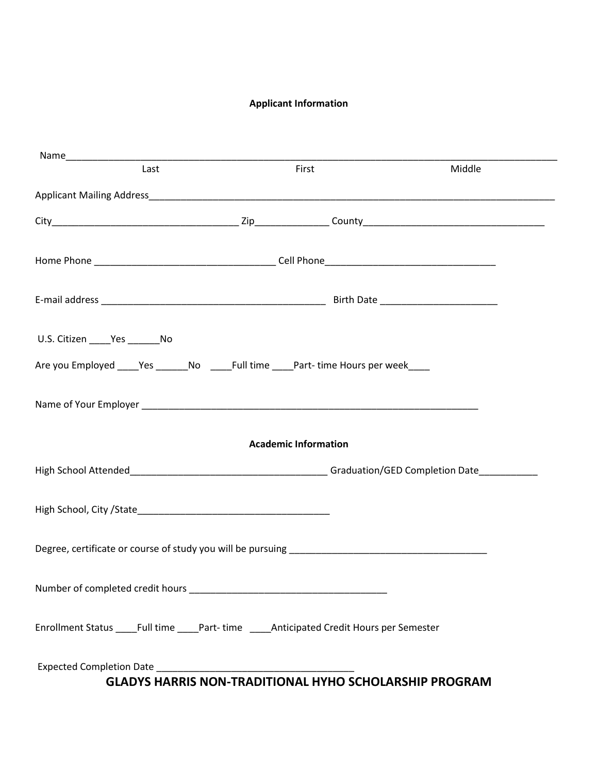### **Applicant Information**

| Last                                                                                                                                                                                                                           | First                       | Middle |  |  |
|--------------------------------------------------------------------------------------------------------------------------------------------------------------------------------------------------------------------------------|-----------------------------|--------|--|--|
|                                                                                                                                                                                                                                |                             |        |  |  |
|                                                                                                                                                                                                                                |                             |        |  |  |
|                                                                                                                                                                                                                                |                             |        |  |  |
|                                                                                                                                                                                                                                |                             |        |  |  |
| U.S. Citizen ______ Yes ________ No                                                                                                                                                                                            |                             |        |  |  |
| Are you Employed ____Yes ______No ____Full time ____Part- time Hours per week____                                                                                                                                              |                             |        |  |  |
|                                                                                                                                                                                                                                |                             |        |  |  |
|                                                                                                                                                                                                                                | <b>Academic Information</b> |        |  |  |
|                                                                                                                                                                                                                                |                             |        |  |  |
|                                                                                                                                                                                                                                |                             |        |  |  |
|                                                                                                                                                                                                                                |                             |        |  |  |
| Number of completed credit hours example and the completed credit hours and the complete and the complete and the complete and the complete and the complete and the complete and the complete and the complete and the comple |                             |        |  |  |
| Enrollment Status _____Full time _____Part- time ______Anticipated Credit Hours per Semester                                                                                                                                   |                             |        |  |  |
|                                                                                                                                                                                                                                |                             |        |  |  |
| <b>GLADYS HARRIS NON-TRADITIONAL HYHO SCHOLARSHIP PROGRAM</b>                                                                                                                                                                  |                             |        |  |  |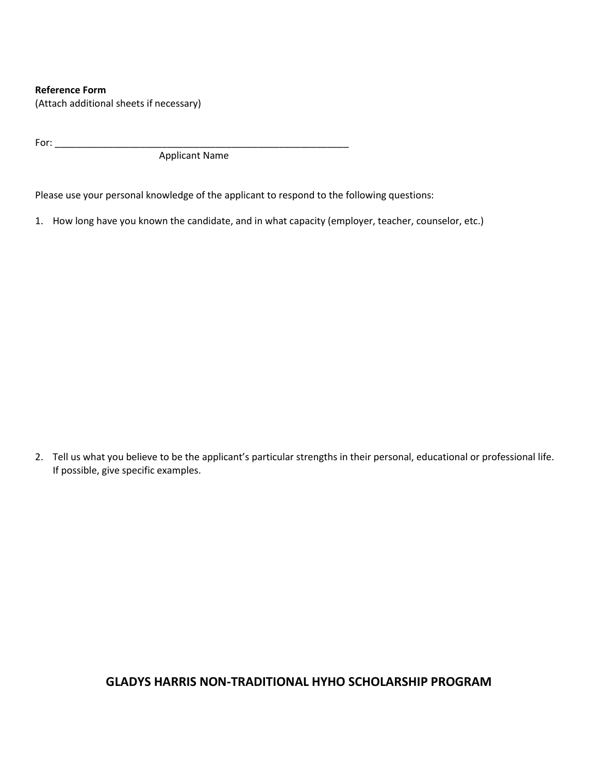#### **Reference Form**

(Attach additional sheets if necessary)

 $For:$ 

Applicant Name

Please use your personal knowledge of the applicant to respond to the following questions:

1. How long have you known the candidate, and in what capacity (employer, teacher, counselor, etc.)

2. Tell us what you believe to be the applicant's particular strengths in their personal, educational or professional life. If possible, give specific examples.

# **GLADYS HARRIS NON-TRADITIONAL HYHO SCHOLARSHIP PROGRAM**